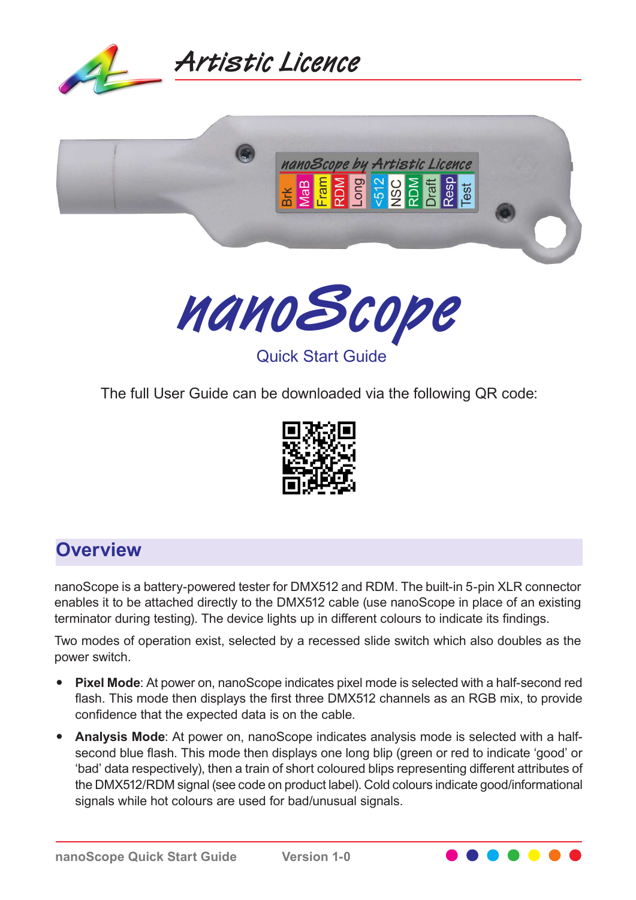





The full User Guide can be downloaded via the following QR code:



## **Overview**

nanoScope is a battery-powered tester for DMX512 and RDM. The built-in 5-pin XLR connector enables it to be attached directly to the DMX512 cable (use nanoScope in place of an existing terminator during testing). The device lights up in different colours to indicate its findings.

Two modes of operation exist, selected by a recessed slide switch which also doubles as the power switch.

- **Pixel Mode**: At power on, nanoScope indicates pixel mode is selected with a half-second red flash. This mode then displays the first three DMX512 channels as an RGB mix, to provide confidence that the expected data is on the cable.
- Analysis Mode: At power on, nanoScope indicates analysis mode is selected with a halfsecond blue flash. This mode then displays one long blip (green or red to indicate 'good' or 'bad' data respectively), then a train of short coloured blips representing different attributes of the DMX512/RDM signal (see code on product label). Cold colours indicate good/informational signals while hot colours are used for bad/unusual signals.